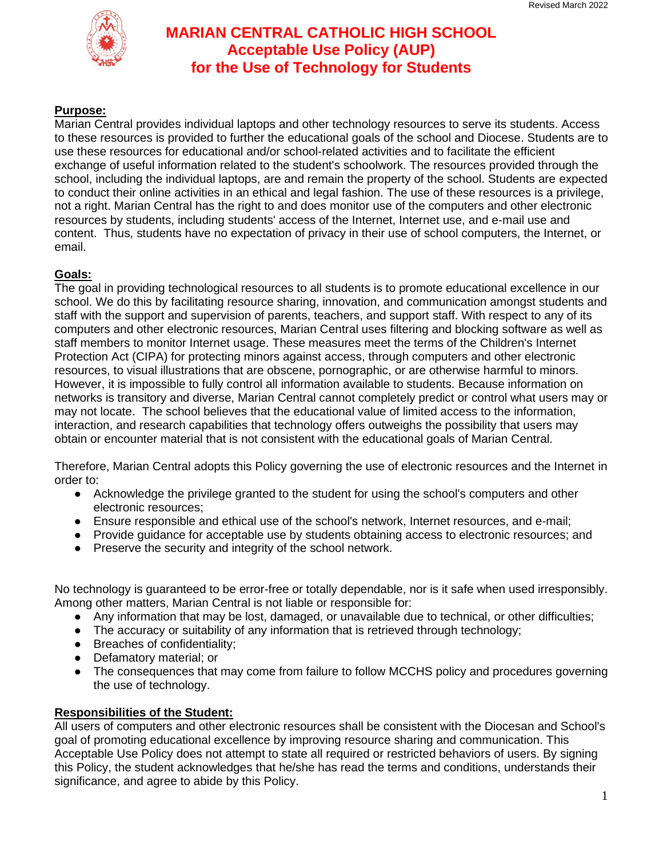

### **Purpose:**

Marian Central provides individual laptops and other technology resources to serve its students. Access to these resources is provided to further the educational goals of the school and Diocese. Students are to use these resources for educational and/or school-related activities and to facilitate the efficient exchange of useful information related to the student's schoolwork. The resources provided through the school, including the individual laptops, are and remain the property of the school. Students are expected to conduct their online activities in an ethical and legal fashion. The use of these resources is a privilege, not a right. Marian Central has the right to and does monitor use of the computers and other electronic resources by students, including students' access of the Internet, Internet use, and e-mail use and content. Thus, students have no expectation of privacy in their use of school computers, the Internet, or email.

### **Goals:**

The goal in providing technological resources to all students is to promote educational excellence in our school. We do this by facilitating resource sharing, innovation, and communication amongst students and staff with the support and supervision of parents, teachers, and support staff. With respect to any of its computers and other electronic resources, Marian Central uses filtering and blocking software as well as staff members to monitor Internet usage. These measures meet the terms of the Children's Internet Protection Act (CIPA) for protecting minors against access, through computers and other electronic resources, to visual illustrations that are obscene, pornographic, or are otherwise harmful to minors. However, it is impossible to fully control all information available to students. Because information on networks is transitory and diverse, Marian Central cannot completely predict or control what users may or may not locate. The school believes that the educational value of limited access to the information, interaction, and research capabilities that technology offers outweighs the possibility that users may obtain or encounter material that is not consistent with the educational goals of Marian Central.

Therefore, Marian Central adopts this Policy governing the use of electronic resources and the Internet in order to:

- Acknowledge the privilege granted to the student for using the school's computers and other electronic resources;
- Ensure responsible and ethical use of the school's network, Internet resources, and e-mail;
- Provide quidance for acceptable use by students obtaining access to electronic resources; and
- Preserve the security and integrity of the school network.

No technology is guaranteed to be error-free or totally dependable, nor is it safe when used irresponsibly. Among other matters, Marian Central is not liable or responsible for:

- Any information that may be lost, damaged, or unavailable due to technical, or other difficulties;
- The accuracy or suitability of any information that is retrieved through technology;
- Breaches of confidentiality;
- Defamatory material; or
- The consequences that may come from failure to follow MCCHS policy and procedures governing the use of technology.

#### **Responsibilities of the Student:**

All users of computers and other electronic resources shall be consistent with the Diocesan and School's goal of promoting educational excellence by improving resource sharing and communication. This Acceptable Use Policy does not attempt to state all required or restricted behaviors of users. By signing this Policy, the student acknowledges that he/she has read the terms and conditions, understands their significance, and agree to abide by this Policy.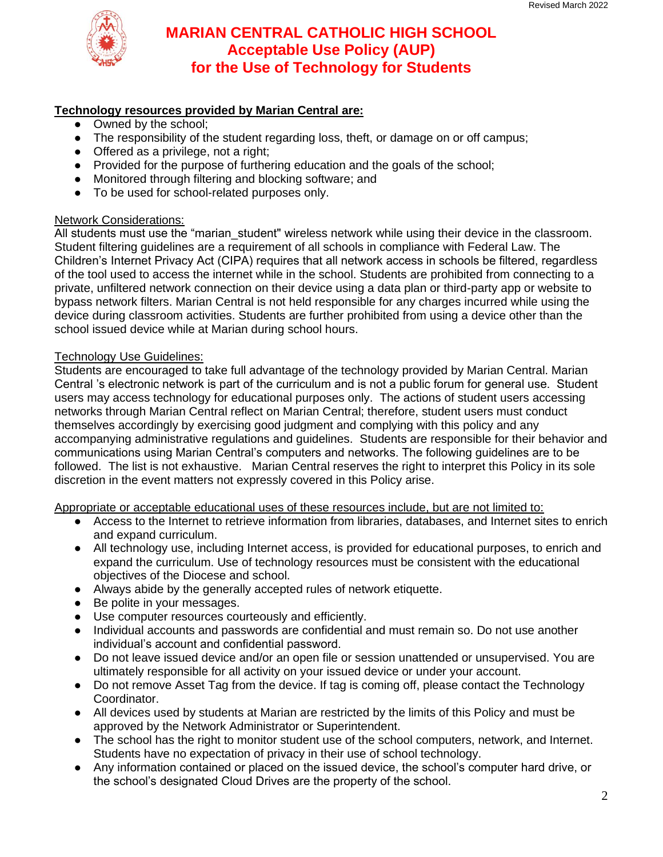

#### **Technology resources provided by Marian Central are:**

- Owned by the school;
- The responsibility of the student regarding loss, theft, or damage on or off campus;
- Offered as a privilege, not a right;
- Provided for the purpose of furthering education and the goals of the school;
- Monitored through filtering and blocking software; and
- To be used for school-related purposes only.

#### Network Considerations:

All students must use the "marian student" wireless network while using their device in the classroom. Student filtering guidelines are a requirement of all schools in compliance with Federal Law. The Children's Internet Privacy Act (CIPA) requires that all network access in schools be filtered, regardless of the tool used to access the internet while in the school. Students are prohibited from connecting to a private, unfiltered network connection on their device using a data plan or third-party app or website to bypass network filters. Marian Central is not held responsible for any charges incurred while using the device during classroom activities. Students are further prohibited from using a device other than the school issued device while at Marian during school hours.

#### Technology Use Guidelines:

Students are encouraged to take full advantage of the technology provided by Marian Central. Marian Central 's electronic network is part of the curriculum and is not a public forum for general use. Student users may access technology for educational purposes only. The actions of student users accessing networks through Marian Central reflect on Marian Central; therefore, student users must conduct themselves accordingly by exercising good judgment and complying with this policy and any accompanying administrative regulations and guidelines. Students are responsible for their behavior and communications using Marian Central's computers and networks. The following guidelines are to be followed. The list is not exhaustive. Marian Central reserves the right to interpret this Policy in its sole discretion in the event matters not expressly covered in this Policy arise.

Appropriate or acceptable educational uses of these resources include, but are not limited to:

- Access to the Internet to retrieve information from libraries, databases, and Internet sites to enrich and expand curriculum.
- All technology use, including Internet access, is provided for educational purposes, to enrich and expand the curriculum. Use of technology resources must be consistent with the educational objectives of the Diocese and school.
- Always abide by the generally accepted rules of network etiquette.
- Be polite in your messages.
- Use computer resources courteously and efficiently.
- Individual accounts and passwords are confidential and must remain so. Do not use another individual's account and confidential password.
- Do not leave issued device and/or an open file or session unattended or unsupervised. You are ultimately responsible for all activity on your issued device or under your account.
- Do not remove Asset Tag from the device. If tag is coming off, please contact the Technology Coordinator.
- All devices used by students at Marian are restricted by the limits of this Policy and must be approved by the Network Administrator or Superintendent.
- The school has the right to monitor student use of the school computers, network, and Internet. Students have no expectation of privacy in their use of school technology.
- Any information contained or placed on the issued device, the school's computer hard drive, or the school's designated Cloud Drives are the property of the school.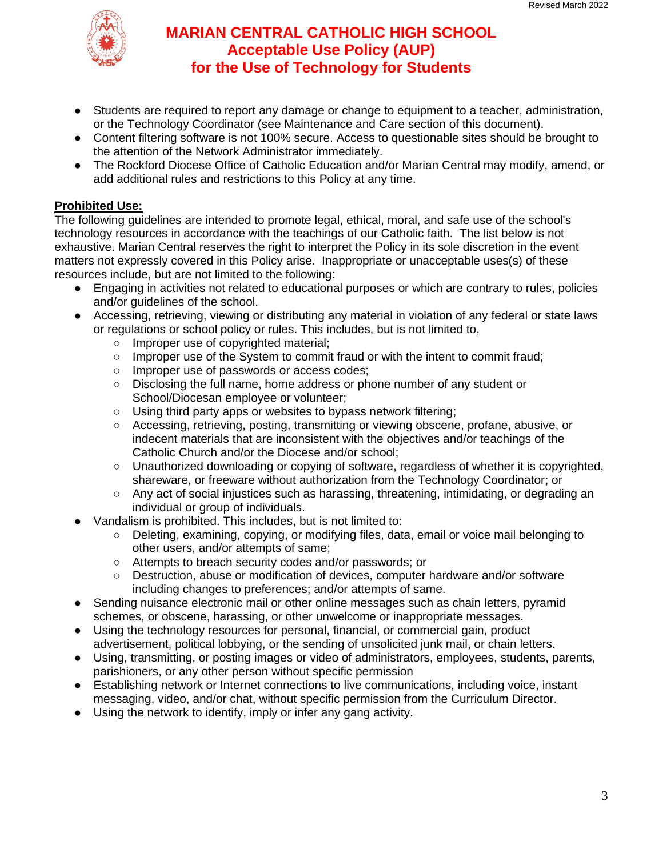

- Students are required to report any damage or change to equipment to a teacher, administration, or the Technology Coordinator (see Maintenance and Care section of this document).
- Content filtering software is not 100% secure. Access to questionable sites should be brought to the attention of the Network Administrator immediately.
- The Rockford Diocese Office of Catholic Education and/or Marian Central may modify, amend, or add additional rules and restrictions to this Policy at any time.

## **Prohibited Use:**

The following guidelines are intended to promote legal, ethical, moral, and safe use of the school's technology resources in accordance with the teachings of our Catholic faith. The list below is not exhaustive. Marian Central reserves the right to interpret the Policy in its sole discretion in the event matters not expressly covered in this Policy arise. Inappropriate or unacceptable uses(s) of these resources include, but are not limited to the following:

- Engaging in activities not related to educational purposes or which are contrary to rules, policies and/or guidelines of the school.
- Accessing, retrieving, viewing or distributing any material in violation of any federal or state laws or regulations or school policy or rules. This includes, but is not limited to,
	- Improper use of copyrighted material;
	- Improper use of the System to commit fraud or with the intent to commit fraud;
	- Improper use of passwords or access codes;
	- Disclosing the full name, home address or phone number of any student or School/Diocesan employee or volunteer;
	- Using third party apps or websites to bypass network filtering;
	- Accessing, retrieving, posting, transmitting or viewing obscene, profane, abusive, or indecent materials that are inconsistent with the objectives and/or teachings of the Catholic Church and/or the Diocese and/or school;
	- Unauthorized downloading or copying of software, regardless of whether it is copyrighted, shareware, or freeware without authorization from the Technology Coordinator; or
	- Any act of social injustices such as harassing, threatening, intimidating, or degrading an individual or group of individuals.
- Vandalism is prohibited. This includes, but is not limited to:
	- Deleting, examining, copying, or modifying files, data, email or voice mail belonging to other users, and/or attempts of same;
	- Attempts to breach security codes and/or passwords; or
	- Destruction, abuse or modification of devices, computer hardware and/or software including changes to preferences; and/or attempts of same.
- Sending nuisance electronic mail or other online messages such as chain letters, pyramid schemes, or obscene, harassing, or other unwelcome or inappropriate messages.
- Using the technology resources for personal, financial, or commercial gain, product advertisement, political lobbying, or the sending of unsolicited junk mail, or chain letters.
- Using, transmitting, or posting images or video of administrators, employees, students, parents, parishioners, or any other person without specific permission
- Establishing network or Internet connections to live communications, including voice, instant messaging, video, and/or chat, without specific permission from the Curriculum Director.
- Using the network to identify, imply or infer any gang activity.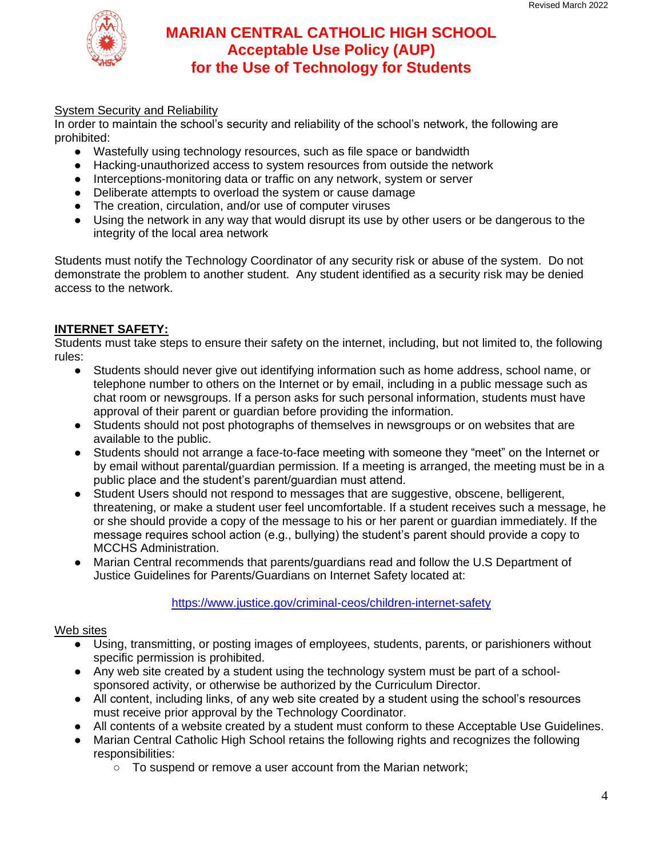

## System Security and Reliability

In order to maintain the school's security and reliability of the school's network, the following are prohibited:

- Wastefully using technology resources, such as file space or bandwidth
- Hacking-unauthorized access to system resources from outside the network
- Interceptions-monitoring data or traffic on any network, system or server
- Deliberate attempts to overload the system or cause damage
- The creation, circulation, and/or use of computer viruses
- Using the network in any way that would disrupt its use by other users or be dangerous to the integrity of the local area network

Students must notify the Technology Coordinator of any security risk or abuse of the system. Do not demonstrate the problem to another student. Any student identified as a security risk may be denied access to the network.

### **INTERNET SAFETY:**

Students must take steps to ensure their safety on the internet, including, but not limited to, the following rules:

- Students should never give out identifying information such as home address, school name, or telephone number to others on the Internet or by email, including in a public message such as chat room or newsgroups. If a person asks for such personal information, students must have approval of their parent or guardian before providing the information.
- Students should not post photographs of themselves in newsgroups or on websites that are available to the public.
- Students should not arrange a face-to-face meeting with someone they "meet" on the Internet or by email without parental/guardian permission. If a meeting is arranged, the meeting must be in a public place and the student's parent/guardian must attend.
- Student Users should not respond to messages that are suggestive, obscene, belligerent, threatening, or make a student user feel uncomfortable. If a student receives such a message, he or she should provide a copy of the message to his or her parent or guardian immediately. If the message requires school action (e.g., bullying) the student's parent should provide a copy to MCCHS Administration.
- Marian Central recommends that parents/guardians read and follow the U.S Department of Justice Guidelines for Parents/Guardians on Internet Safety located at:

#### <https://www.justice.gov/criminal-ceos/children-internet-safety>

#### Web sites

- Using, transmitting, or posting images of employees, students, parents, or parishioners without specific permission is prohibited.
- Any web site created by a student using the technology system must be part of a schoolsponsored activity, or otherwise be authorized by the Curriculum Director.
- All content, including links, of any web site created by a student using the school's resources must receive prior approval by the Technology Coordinator.
- All contents of a website created by a student must conform to these Acceptable Use Guidelines.
- Marian Central Catholic High School retains the following rights and recognizes the following responsibilities:
	- To suspend or remove a user account from the Marian network;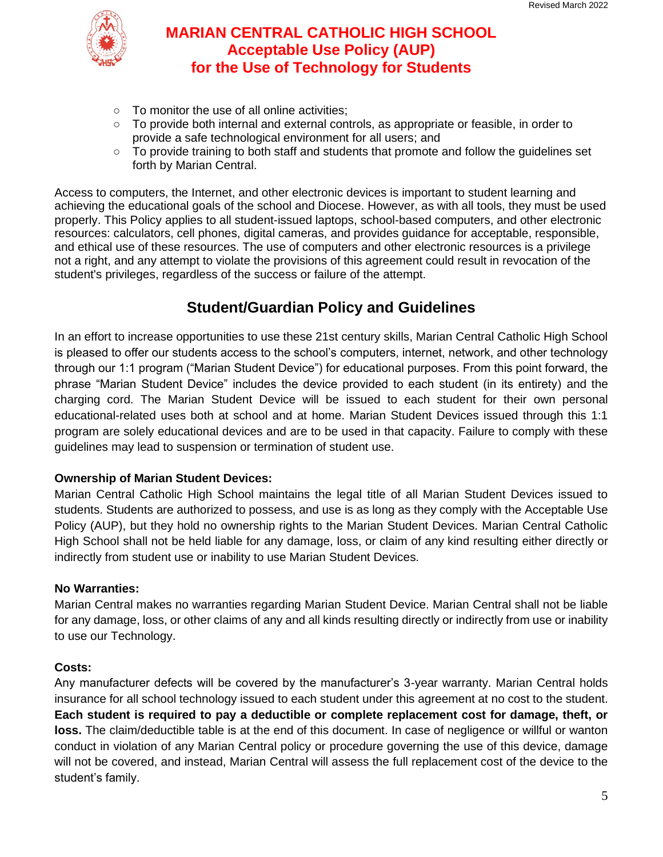

- To monitor the use of all online activities;
- To provide both internal and external controls, as appropriate or feasible, in order to provide a safe technological environment for all users; and
- To provide training to both staff and students that promote and follow the guidelines set forth by Marian Central.

Access to computers, the Internet, and other electronic devices is important to student learning and achieving the educational goals of the school and Diocese. However, as with all tools, they must be used properly. This Policy applies to all student-issued laptops, school-based computers, and other electronic resources: calculators, cell phones, digital cameras, and provides guidance for acceptable, responsible, and ethical use of these resources. The use of computers and other electronic resources is a privilege not a right, and any attempt to violate the provisions of this agreement could result in revocation of the student's privileges, regardless of the success or failure of the attempt.

# **Student/Guardian Policy and Guidelines**

In an effort to increase opportunities to use these 21st century skills, Marian Central Catholic High School is pleased to offer our students access to the school's computers, internet, network, and other technology through our 1:1 program ("Marian Student Device") for educational purposes. From this point forward, the phrase "Marian Student Device" includes the device provided to each student (in its entirety) and the charging cord. The Marian Student Device will be issued to each student for their own personal educational-related uses both at school and at home. Marian Student Devices issued through this 1:1 program are solely educational devices and are to be used in that capacity. Failure to comply with these guidelines may lead to suspension or termination of student use.

## **Ownership of Marian Student Devices:**

Marian Central Catholic High School maintains the legal title of all Marian Student Devices issued to students. Students are authorized to possess, and use is as long as they comply with the Acceptable Use Policy (AUP), but they hold no ownership rights to the Marian Student Devices. Marian Central Catholic High School shall not be held liable for any damage, loss, or claim of any kind resulting either directly or indirectly from student use or inability to use Marian Student Devices.

## **No Warranties:**

Marian Central makes no warranties regarding Marian Student Device. Marian Central shall not be liable for any damage, loss, or other claims of any and all kinds resulting directly or indirectly from use or inability to use our Technology.

## **Costs:**

Any manufacturer defects will be covered by the manufacturer's 3-year warranty. Marian Central holds insurance for all school technology issued to each student under this agreement at no cost to the student. **Each student is required to pay a deductible or complete replacement cost for damage, theft, or loss.** The claim/deductible table is at the end of this document. In case of negligence or willful or wanton conduct in violation of any Marian Central policy or procedure governing the use of this device, damage will not be covered, and instead, Marian Central will assess the full replacement cost of the device to the student's family.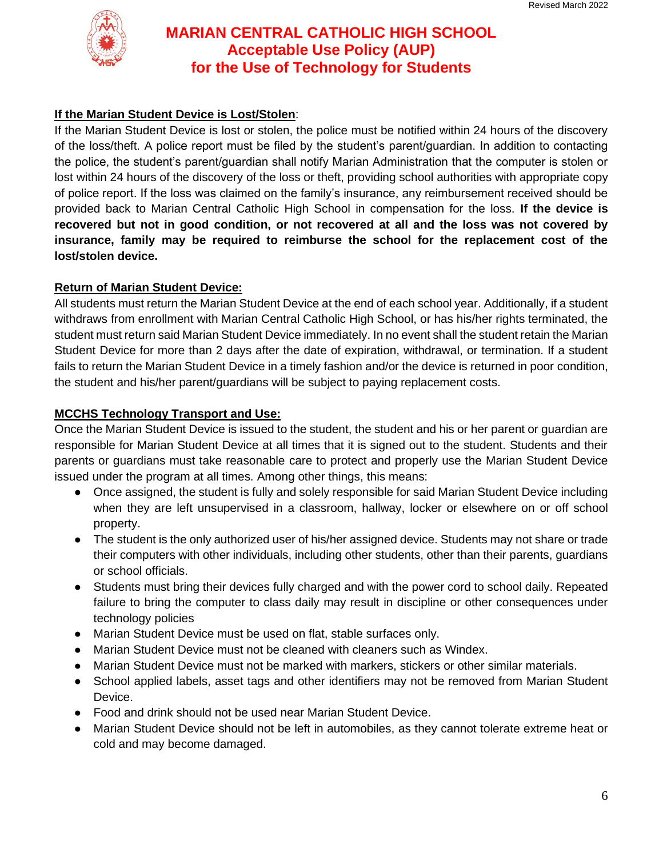

## **If the Marian Student Device is Lost/Stolen**:

If the Marian Student Device is lost or stolen, the police must be notified within 24 hours of the discovery of the loss/theft. A police report must be filed by the student's parent/guardian. In addition to contacting the police, the student's parent/guardian shall notify Marian Administration that the computer is stolen or lost within 24 hours of the discovery of the loss or theft, providing school authorities with appropriate copy of police report. If the loss was claimed on the family's insurance, any reimbursement received should be provided back to Marian Central Catholic High School in compensation for the loss. **If the device is recovered but not in good condition, or not recovered at all and the loss was not covered by insurance, family may be required to reimburse the school for the replacement cost of the lost/stolen device.**

### **Return of Marian Student Device:**

All students must return the Marian Student Device at the end of each school year. Additionally, if a student withdraws from enrollment with Marian Central Catholic High School, or has his/her rights terminated, the student must return said Marian Student Device immediately. In no event shall the student retain the Marian Student Device for more than 2 days after the date of expiration, withdrawal, or termination. If a student fails to return the Marian Student Device in a timely fashion and/or the device is returned in poor condition, the student and his/her parent/guardians will be subject to paying replacement costs.

## **MCCHS Technology Transport and Use:**

Once the Marian Student Device is issued to the student, the student and his or her parent or guardian are responsible for Marian Student Device at all times that it is signed out to the student. Students and their parents or guardians must take reasonable care to protect and properly use the Marian Student Device issued under the program at all times. Among other things, this means:

- Once assigned, the student is fully and solely responsible for said Marian Student Device including when they are left unsupervised in a classroom, hallway, locker or elsewhere on or off school property.
- The student is the only authorized user of his/her assigned device. Students may not share or trade their computers with other individuals, including other students, other than their parents, guardians or school officials.
- Students must bring their devices fully charged and with the power cord to school daily. Repeated failure to bring the computer to class daily may result in discipline or other consequences under technology policies
- Marian Student Device must be used on flat, stable surfaces only.
- Marian Student Device must not be cleaned with cleaners such as Windex.
- Marian Student Device must not be marked with markers, stickers or other similar materials.
- School applied labels, asset tags and other identifiers may not be removed from Marian Student Device.
- Food and drink should not be used near Marian Student Device.
- Marian Student Device should not be left in automobiles, as they cannot tolerate extreme heat or cold and may become damaged.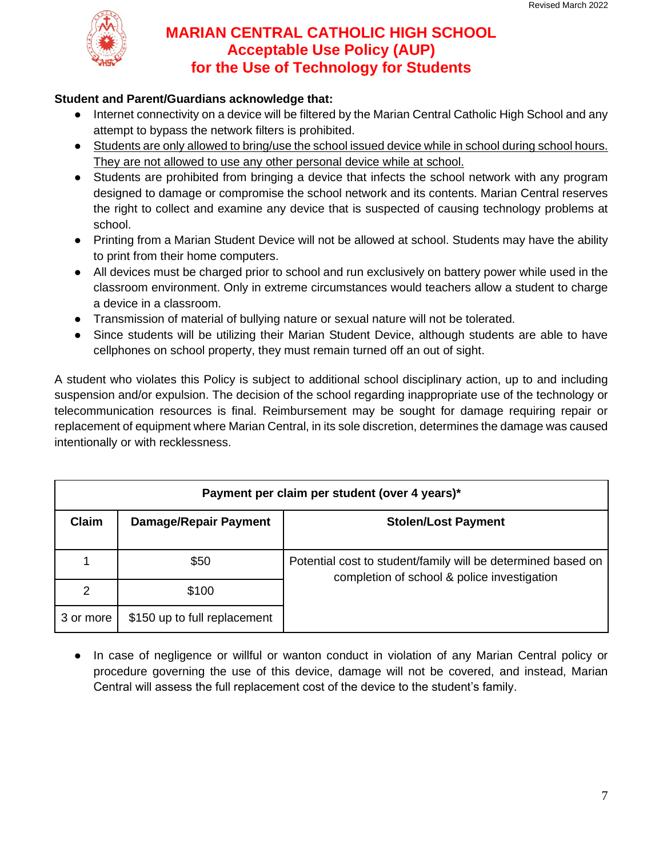

### **Student and Parent/Guardians acknowledge that:**

- Internet connectivity on a device will be filtered by the Marian Central Catholic High School and any attempt to bypass the network filters is prohibited.
- Students are only allowed to bring/use the school issued device while in school during school hours. They are not allowed to use any other personal device while at school.
- Students are prohibited from bringing a device that infects the school network with any program designed to damage or compromise the school network and its contents. Marian Central reserves the right to collect and examine any device that is suspected of causing technology problems at school.
- Printing from a Marian Student Device will not be allowed at school. Students may have the ability to print from their home computers.
- All devices must be charged prior to school and run exclusively on battery power while used in the classroom environment. Only in extreme circumstances would teachers allow a student to charge a device in a classroom.
- Transmission of material of bullying nature or sexual nature will not be tolerated.
- Since students will be utilizing their Marian Student Device, although students are able to have cellphones on school property, they must remain turned off an out of sight.

A student who violates this Policy is subject to additional school disciplinary action, up to and including suspension and/or expulsion. The decision of the school regarding inappropriate use of the technology or telecommunication resources is final. Reimbursement may be sought for damage requiring repair or replacement of equipment where Marian Central, in its sole discretion, determines the damage was caused intentionally or with recklessness.

| Payment per claim per student (over 4 years)* |                              |                                                                                                             |  |
|-----------------------------------------------|------------------------------|-------------------------------------------------------------------------------------------------------------|--|
| <b>Claim</b>                                  | Damage/Repair Payment        | <b>Stolen/Lost Payment</b>                                                                                  |  |
|                                               | \$50                         | Potential cost to student/family will be determined based on<br>completion of school & police investigation |  |
| 2                                             | \$100                        |                                                                                                             |  |
| 3 or more                                     | \$150 up to full replacement |                                                                                                             |  |

● In case of negligence or willful or wanton conduct in violation of any Marian Central policy or procedure governing the use of this device, damage will not be covered, and instead, Marian Central will assess the full replacement cost of the device to the student's family.